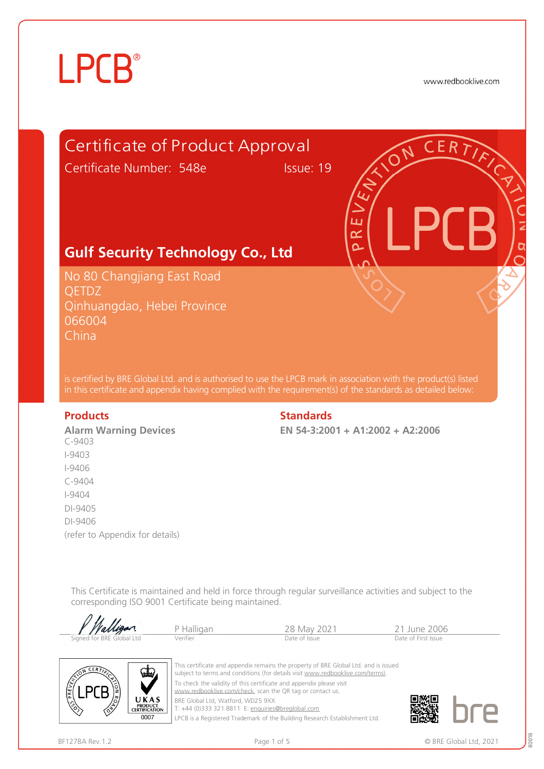# **LPCB**®

www.redbooklive.com



corresponding ISO 9001 Certificate being maintained.  $\overline{u}$ 

| .<br>Walligan.            | Halligan | 28 May 2021   | 11 June 2006        |  |
|---------------------------|----------|---------------|---------------------|--|
| Signed for BRE Global Ltd | Verifier | Date of Issue | Date of First Issue |  |



This certificate and appendix remains the property of BRE Global Ltd. and is issued subject to terms and conditions (for details visit [www.redbooklive.com/terms\)](http://www.redbooklive.com/terms)). To check the validity of this certificate and appendix please visit [www.redbooklive.com/check,](http://www.redbooklive.com/check) scan the QR tag or contact us. BRE Global Ltd, Watford, WD25 9XX

T: +44 (0)333 321 8811 E: [enquiries@breglobal.com](mailto:enquiries@breglobal.com)

LPCB is a Registered Trademark of the Building Research Establishment Ltd.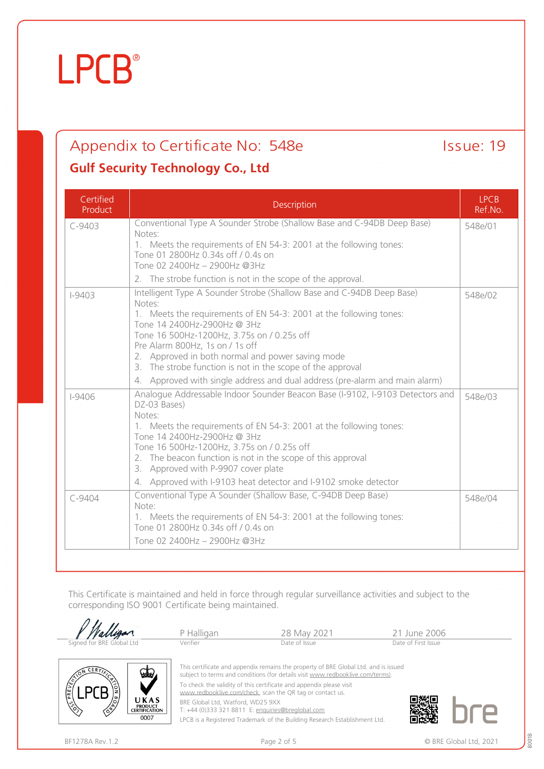0007

## **LPCB**®

## Appendix to Certificate No: 548e Issue: 19

### **Gulf Security Technology Co., Ltd**

| Certified<br>Product | Description                                                                                                                                       | <b>LPCB</b><br>Ref.No. |
|----------------------|---------------------------------------------------------------------------------------------------------------------------------------------------|------------------------|
| $C-9403$             | Conventional Type A Sounder Strobe (Shallow Base and C-94DB Deep Base)<br>Notes:                                                                  | 548e/01                |
|                      | 1. Meets the requirements of EN 54-3: 2001 at the following tones:                                                                                |                        |
|                      | Tone 01 2800Hz 0.34s off / 0.4s on<br>Tone 02 2400Hz - 2900Hz @3Hz                                                                                |                        |
|                      | 2. The strobe function is not in the scope of the approval.                                                                                       |                        |
| $1 - 9403$           | Intelligent Type A Sounder Strobe (Shallow Base and C-94DB Deep Base)                                                                             | 548e/02                |
|                      | Notes:<br>1. Meets the requirements of EN 54-3: 2001 at the following tones:<br>Tone 14 2400Hz-2900Hz @ 3Hz                                       |                        |
|                      | Tone 16 500Hz-1200Hz, 3.75s on / 0.25s off                                                                                                        |                        |
|                      | Pre Alarm 800Hz, 1s on / 1s off<br>2. Approved in both normal and power saving mode<br>3. The strobe function is not in the scope of the approval |                        |
|                      | 4. Approved with single address and dual address (pre-alarm and main alarm)                                                                       |                        |
| $1 - 9406$           | Analogue Addressable Indoor Sounder Beacon Base (I-9102, I-9103 Detectors and<br>DZ-03 Bases)<br>Notes:                                           | 548e/03                |
|                      | 1. Meets the requirements of EN 54-3: 2001 at the following tones:<br>Tone 14 2400Hz-2900Hz @ 3Hz                                                 |                        |
|                      | Tone 16 500Hz-1200Hz, 3.75s on / 0.25s off                                                                                                        |                        |
|                      | 2. The beacon function is not in the scope of this approval<br>3. Approved with P-9907 cover plate                                                |                        |
|                      | 4. Approved with I-9103 heat detector and I-9102 smoke detector                                                                                   |                        |
| $C-9404$             | Conventional Type A Sounder (Shallow Base, C-94DB Deep Base)<br>Note:                                                                             | 548e/04                |
|                      | 1. Meets the requirements of EN 54-3: 2001 at the following tones:<br>Tone 01 2800Hz 0.34s off / 0.4s on                                          |                        |
|                      | Tone 02 2400Hz - 2900Hz @3Hz                                                                                                                      |                        |

This Certificate is maintained and held in force through regular surveillance activities and subject to the corresponding ISO 9001 Certificate being maintained.

|                                                                    | P Halligan                                                                                                                       | 28 May 2021                                                                                                                                                           | 21 June 2006        |
|--------------------------------------------------------------------|----------------------------------------------------------------------------------------------------------------------------------|-----------------------------------------------------------------------------------------------------------------------------------------------------------------------|---------------------|
| Signed for BRE Global Ltd                                          | Verifier                                                                                                                         | Date of Issue                                                                                                                                                         | Date of First Issue |
| CERT<br>√ططت                                                       |                                                                                                                                  | This certificate and appendix remains the property of BRE Global Ltd. and is issued<br>subject to terms and conditions (for details visit www.redbooklive.com/terms). |                     |
|                                                                    | To check the validity of this certificate and appendix please visit<br>www.redbooklive.com/check, scan the QR tag or contact us. |                                                                                                                                                                       |                     |
| UKAS<br><b>PRODUCT</b><br>$\Diamond$<br>∕ॐ<br><b>CERTIFICATION</b> | BRE Global Ltd, Watford, WD25 9XX<br>T: +44 (0)333 321 8811 E: enquiries@breglobal.com                                           |                                                                                                                                                                       |                     |
| 0007                                                               |                                                                                                                                  |                                                                                                                                                                       |                     |

LPCB is a Registered Trademark of the Building Research Establishment Ltd.



80018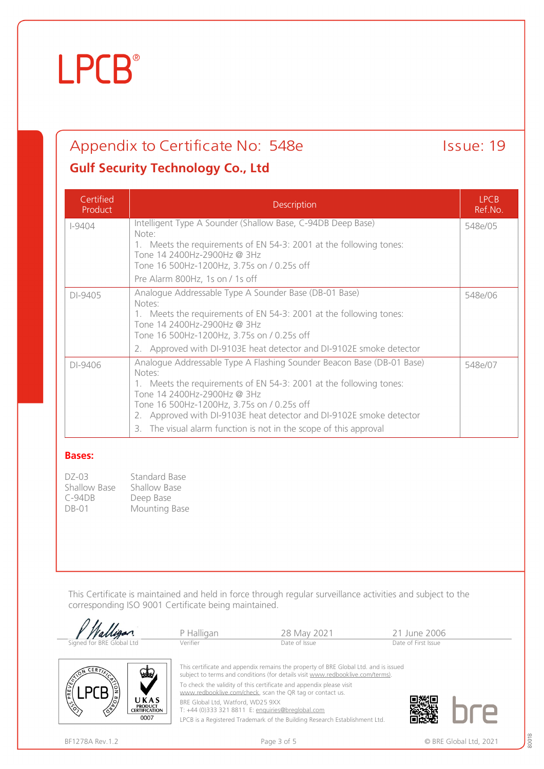$\langle$ 

0007

## **LPCB**®

## Appendix to Certificate No: 548e Issue: 19

### **Gulf Security Technology Co., Ltd**

| Certified<br>Product | Description                                                                                                                                                                                                                                                                                               | <b>LPCB</b><br>Ref.No. |
|----------------------|-----------------------------------------------------------------------------------------------------------------------------------------------------------------------------------------------------------------------------------------------------------------------------------------------------------|------------------------|
| $I-9404$             | Intelligent Type A Sounder (Shallow Base, C-94DB Deep Base)<br>Note:                                                                                                                                                                                                                                      | 548e/05                |
|                      | 1. Meets the requirements of EN 54-3: 2001 at the following tones:                                                                                                                                                                                                                                        |                        |
|                      | Tone 14 2400Hz-2900Hz @ 3Hz<br>Tone 16 500Hz-1200Hz, 3.75s on / 0.25s off                                                                                                                                                                                                                                 |                        |
|                      | Pre Alarm 800Hz, 1s on / 1s off                                                                                                                                                                                                                                                                           |                        |
| DI-9405              | Analogue Addressable Type A Sounder Base (DB-01 Base)<br>Notes:                                                                                                                                                                                                                                           | 548e/06                |
|                      | 1. Meets the requirements of EN 54-3: 2001 at the following tones:<br>Tone 14 2400Hz-2900Hz @ 3Hz<br>Tone 16 500Hz-1200Hz, 3.75s on / 0.25s off                                                                                                                                                           |                        |
|                      | 2. Approved with DI-9103E heat detector and DI-9102E smoke detector                                                                                                                                                                                                                                       |                        |
| DI-9406              | Analoque Addressable Type A Flashing Sounder Beacon Base (DB-01 Base)<br>Notes:<br>1. Meets the requirements of EN 54-3: 2001 at the following tones:<br>Tone 14 2400Hz-2900Hz @ 3Hz<br>Tone 16 500Hz-1200Hz, 3.75s on / 0.25s off<br>2. Approved with DI-9103E heat detector and DI-9102E smoke detector | 548e/07                |
|                      | 3. The visual alarm function is not in the scope of this approval                                                                                                                                                                                                                                         |                        |

#### **Bases:**

DZ-03 Standard Base<br>Shallow Base Shallow Base Shallow Base Shallow Ba<br>C-94DB Deep Base C-94DB<br>DB-01 Mounting Base

This Certificate is maintained and held in force through regular surveillance activities and subject to the corresponding ISO 9001 Certificate being maintained.

|                                                                 | P Halligan                                                                             | 28 May 2021                                                                                                                                                           | 21 June 2006        |
|-----------------------------------------------------------------|----------------------------------------------------------------------------------------|-----------------------------------------------------------------------------------------------------------------------------------------------------------------------|---------------------|
| Signed for BRE Global Ltd                                       | Verifier                                                                               | Date of Issue                                                                                                                                                         | Date of First Issue |
| <b>CERTT</b><br>ططع                                             |                                                                                        | This certificate and appendix remains the property of BRE Global Ltd. and is issued<br>subject to terms and conditions (for details visit www.redbooklive.com/terms). |                     |
|                                                                 | www.redbooklive.com/check, scan the QR tag or contact us.                              | To check the validity of this certificate and appendix please visit                                                                                                   |                     |
| UKAS<br>$\mathcal{E}$<br><b>PRODUCT</b><br><b>CERTIFICATION</b> | BRE Global Ltd, Watford, WD25 9XX<br>T: +44 (0)333 321 8811 E: enquiries@breglobal.com |                                                                                                                                                                       |                     |

LPCB is a Registered Trademark of the Building Research Establishment Ltd.

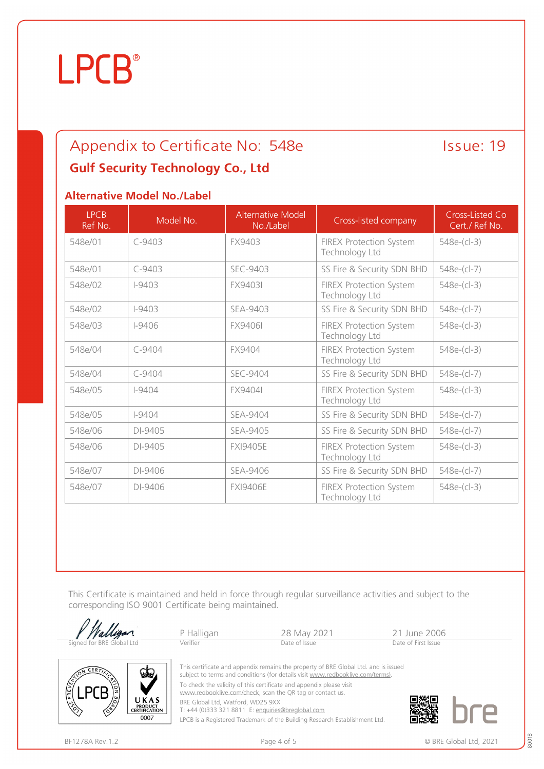# **LPCB**®

### Appendix to Certificate No: 548e Issue: 19 **Gulf Security Technology Co., Ltd**

### **Alternative Model No./Label**

| <b>LPCB</b><br>Ref No. | Model No.  | Alternative Model<br>No./Label | Cross-listed company                             | Cross-Listed Co<br>Cert./ Ref No. |
|------------------------|------------|--------------------------------|--------------------------------------------------|-----------------------------------|
| 548e/01                | $C - 9403$ | FX9403                         | <b>FIREX Protection System</b><br>Technology Ltd | 548e-(cl-3)                       |
| 548e/01                | $C-9403$   | SEC-9403                       | SS Fire & Security SDN BHD                       | 548e-(cl-7)                       |
| 548e/02                | $1 - 9403$ | <b>FX9403I</b>                 | <b>FIREX Protection System</b><br>Technology Ltd | 548e-(cl-3)                       |
| 548e/02                | $I-9403$   | SEA-9403                       | SS Fire & Security SDN BHD                       | 548e-(cl-7)                       |
| 548e/03                | $1 - 9406$ | <b>FX9406L</b>                 | <b>FIREX Protection System</b><br>Technology Ltd | 548e-(cl-3)                       |
| 548e/04                | $C - 9404$ | FX9404                         | <b>FIREX Protection System</b><br>Technology Ltd | 548e-(cl-3)                       |
| 548e/04                | $C - 9404$ | <b>SEC-9404</b>                | SS Fire & Security SDN BHD                       | 548e-(cl-7)                       |
| 548e/05                | $I-9404$   | FX9404I                        | <b>FIREX Protection System</b><br>Technology Ltd | 548e-(cl-3)                       |
| 548e/05                | $1 - 9404$ | SEA-9404                       | SS Fire & Security SDN BHD                       | 548e-(cl-7)                       |
| 548e/06                | DI-9405    | SEA-9405                       | SS Fire & Security SDN BHD                       | 548e-(cl-7)                       |
| 548e/06                | DI-9405    | <b>FXI9405E</b>                | <b>FIREX Protection System</b><br>Technology Ltd | 548e-(cl-3)                       |
| 548e/07                | DI-9406    | SEA-9406                       | SS Fire & Security SDN BHD                       | 548e-(cl-7)                       |
| 548e/07                | DI-9406    | <b>FXI9406E</b>                | FIREX Protection System<br>Technology Ltd        | 548e-(cl-3)                       |

This Certificate is maintained and held in force through regular surveillance activities and subject to the corresponding ISO 9001 Certificate being maintained.

| Walligan.                 | P Halligan | 28 May 2021                                                                                                                                                          | 21 June 2006        |  |
|---------------------------|------------|----------------------------------------------------------------------------------------------------------------------------------------------------------------------|---------------------|--|
| Signed for BRE Global Ltd | Verifier   | Date of Issue                                                                                                                                                        | Date of First Issue |  |
| ය                         |            | This certificate and appendix remains the property of BRE Global Ltd. and is issued<br>subject to terms and conditions (for details visit www.redbooklive.com/terms) |                     |  |



subject to terms and conditions (for details visit [www.redbooklive.com/terms\)](http://www.redbooklive.com/terms)). To check the validity of this certificate and appendix please visit

[www.redbooklive.com/check](http://www.redbooklive.com/check), scan the QR tag or contact us.

BRE Global Ltd, Watford, WD25 9XX

T: +44 (0)333 321 8811 E: [enquiries@breglobal.com](mailto:enquiries@breglobal.com)

LPCB is a Registered Trademark of the Building Research Establishment Ltd.

80018